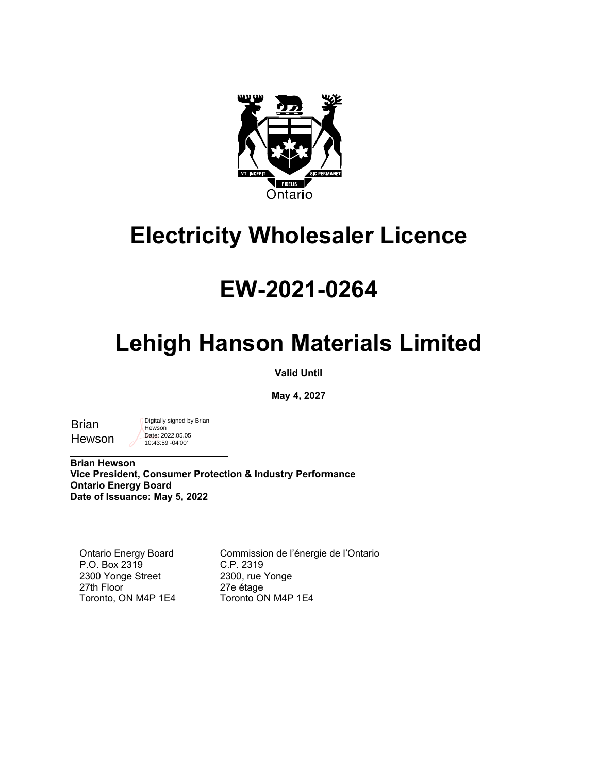

### **Electricity Wholesaler Licence**

## **EW-2021-0264**

# **Lehigh Hanson Materials Limited**

**Valid Until**

**May 4, 2027**

**Brian** Hewson Digitally signed by Brian **Hewson** Date: 2022.05.05 10:43:59 -04'00'

 $\overline{\phantom{a}}$  , where  $\overline{\phantom{a}}$  , where  $\overline{\phantom{a}}$  , where  $\overline{\phantom{a}}$  ,  $\overline{\phantom{a}}$  ,  $\overline{\phantom{a}}$  ,  $\overline{\phantom{a}}$  ,  $\overline{\phantom{a}}$  ,  $\overline{\phantom{a}}$  ,  $\overline{\phantom{a}}$  ,  $\overline{\phantom{a}}$  ,  $\overline{\phantom{a}}$  ,  $\overline{\phantom{a}}$  ,  $\overline{\phantom{a}}$  ,  $\overline{\phantom$ **Brian Hewson Vice President, Consumer Protection & Industry Performance Ontario Energy Board Date of Issuance: May 5, 2022**

Ontario Energy Board P.O. Box 2319 2300 Yonge Street 27th Floor Toronto, ON M4P 1E4 Commission de l'énergie de l'Ontario C.P. 2319 2300, rue Yonge 27e étage Toronto ON M4P 1E4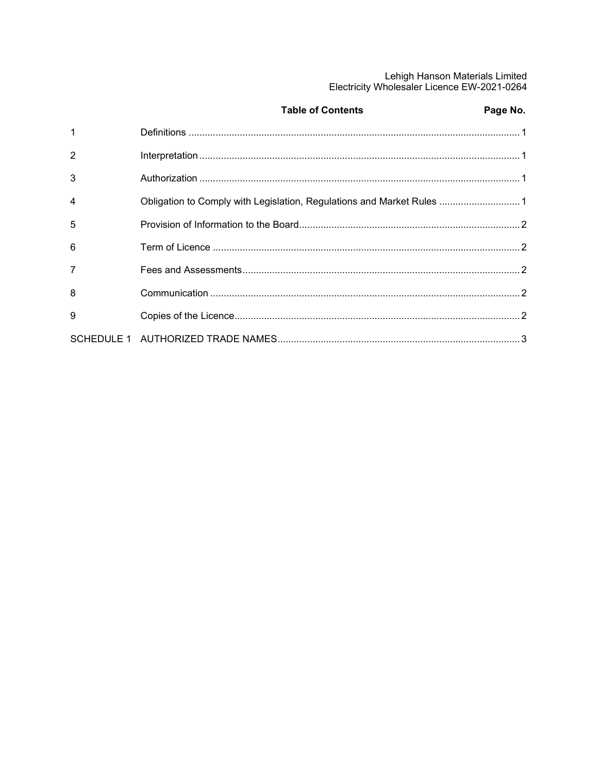## Lehigh Hanson Materials Limited<br>Electricity Wholesaler Licence EW-2021-0264

|                | <b>Table of Contents</b>                                               | Page No. |
|----------------|------------------------------------------------------------------------|----------|
| $\overline{1}$ |                                                                        |          |
| $\overline{2}$ |                                                                        |          |
| 3              |                                                                        |          |
| $\overline{4}$ | Obligation to Comply with Legislation, Regulations and Market Rules  1 |          |
| $\overline{5}$ |                                                                        |          |
| 6              |                                                                        |          |
| $\overline{7}$ |                                                                        |          |
| 8              |                                                                        |          |
| 9              |                                                                        |          |
|                |                                                                        |          |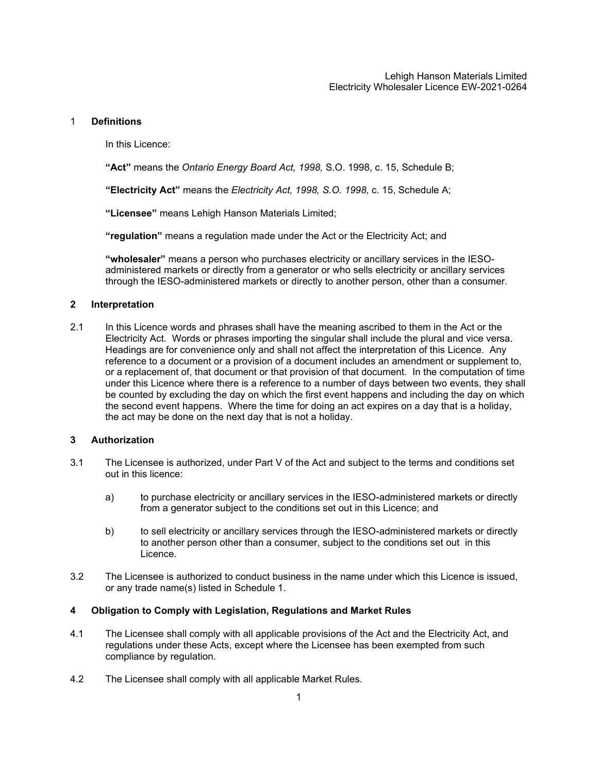#### <span id="page-2-0"></span>1 **Definitions**

In this Licence:

**"Act"** means the *Ontario Energy Board Act, 1998,* S.O. 1998, c. 15, Schedule B;

**"Electricity Act"** means the *Electricity Act, 1998, S.O. 1998,* c. 15, Schedule A;

**"Licensee"** means Lehigh Hanson Materials Limited;

**"regulation"** means a regulation made under the Act or the Electricity Act; and

**"wholesaler"** means a person who purchases electricity or ancillary services in the IESOadministered markets or directly from a generator or who sells electricity or ancillary services through the IESO-administered markets or directly to another person, other than a consumer.

#### <span id="page-2-1"></span>**2 Interpretation**

2.1 In this Licence words and phrases shall have the meaning ascribed to them in the Act or the Electricity Act. Words or phrases importing the singular shall include the plural and vice versa. Headings are for convenience only and shall not affect the interpretation of this Licence. Any reference to a document or a provision of a document includes an amendment or supplement to, or a replacement of, that document or that provision of that document. In the computation of time under this Licence where there is a reference to a number of days between two events, they shall be counted by excluding the day on which the first event happens and including the day on which the second event happens. Where the time for doing an act expires on a day that is a holiday, the act may be done on the next day that is not a holiday.

#### <span id="page-2-2"></span>**3 Authorization**

- 3.1 The Licensee is authorized, under Part V of the Act and subject to the terms and conditions set out in this licence:
	- a) to purchase electricity or ancillary services in the IESO-administered markets or directly from a generator subject to the conditions set out in this Licence; and
	- b) to sell electricity or ancillary services through the IESO-administered markets or directly to another person other than a consumer, subject to the conditions set out in this Licence.
- 3.2 The Licensee is authorized to conduct business in the name under which this Licence is issued, or any trade name(s) listed in Schedule 1.

#### <span id="page-2-3"></span>**4 Obligation to Comply with Legislation, Regulations and Market Rules**

- 4.1 The Licensee shall comply with all applicable provisions of the Act and the Electricity Act, and regulations under these Acts, except where the Licensee has been exempted from such compliance by regulation.
- 4.2 The Licensee shall comply with all applicable Market Rules.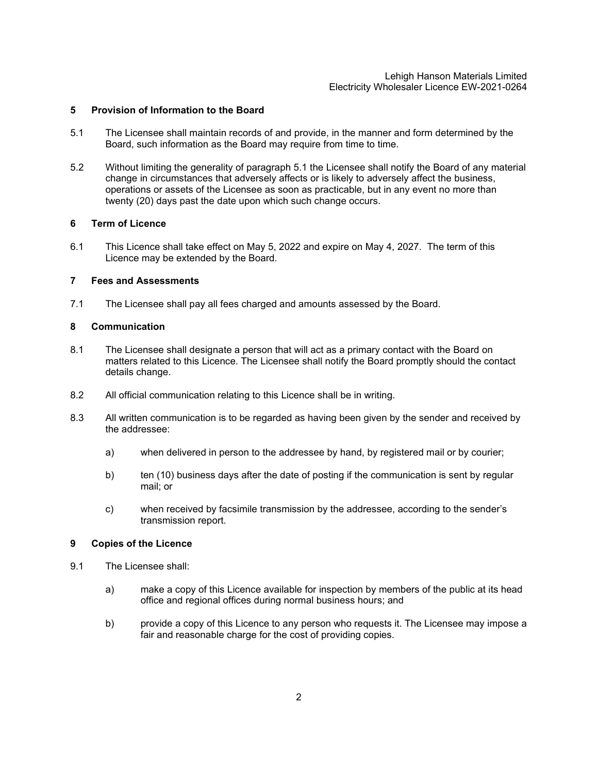#### Lehigh Hanson Materials Limited Electricity Wholesaler Licence EW-2021-0264

#### <span id="page-3-0"></span>**5 Provision of Information to the Board**

- 5.1 The Licensee shall maintain records of and provide, in the manner and form determined by the Board, such information as the Board may require from time to time.
- 5.2 Without limiting the generality of paragraph 5.1 the Licensee shall notify the Board of any material change in circumstances that adversely affects or is likely to adversely affect the business, operations or assets of the Licensee as soon as practicable, but in any event no more than twenty (20) days past the date upon which such change occurs.

#### <span id="page-3-1"></span>**6 Term of Licence**

6.1 This Licence shall take effect on May 5, 2022 and expire on May 4, 2027. The term of this Licence may be extended by the Board.

#### <span id="page-3-2"></span>**7 Fees and Assessments**

7.1 The Licensee shall pay all fees charged and amounts assessed by the Board.

#### <span id="page-3-3"></span>**8 Communication**

- 8.1 The Licensee shall designate a person that will act as a primary contact with the Board on matters related to this Licence. The Licensee shall notify the Board promptly should the contact details change.
- 8.2 All official communication relating to this Licence shall be in writing.
- 8.3 All written communication is to be regarded as having been given by the sender and received by the addressee:
	- a) when delivered in person to the addressee by hand, by registered mail or by courier;
	- b) ten (10) business days after the date of posting if the communication is sent by regular mail; or
	- c) when received by facsimile transmission by the addressee, according to the sender's transmission report.

#### <span id="page-3-4"></span>**9 Copies of the Licence**

- 9.1 The Licensee shall:
	- a) make a copy of this Licence available for inspection by members of the public at its head office and regional offices during normal business hours; and
	- b) provide a copy of this Licence to any person who requests it. The Licensee may impose a fair and reasonable charge for the cost of providing copies.